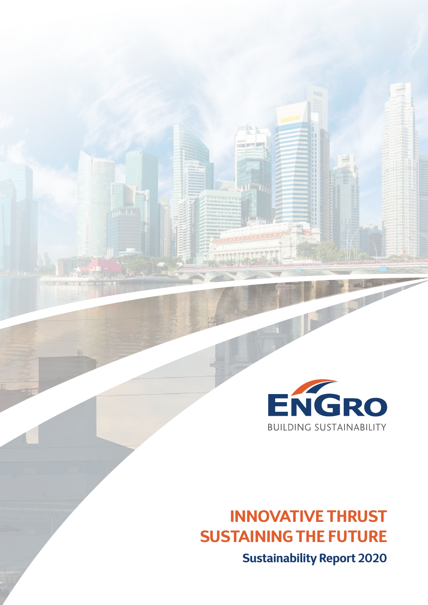

# **INNOVATIVE THRUST SUSTAINING THE FUTURE**

**Sustainability Report 2020**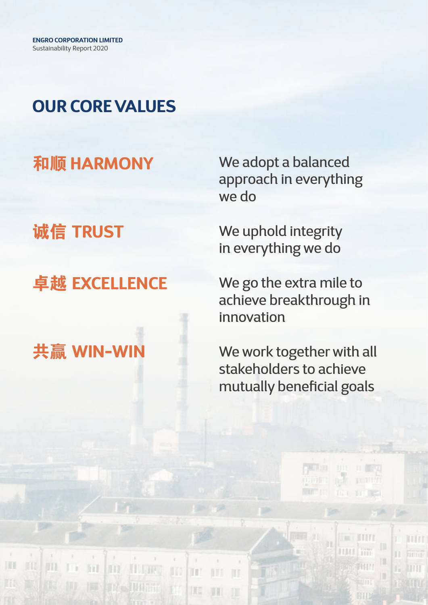## **OUR CORE VALUES**

### 和顺 **HARMONY**

诚信 **TRUST**

### 卓越 **EXCELLENCE**



iii.

**DIE ALGUNS** 

**The IMAGE** 

TD)

順

m

IH

m

We adopt a balanced approach in everything we do

We uphold integrity in everything we do

We go the extra mile to achieve breakthrough in innovation

We work together with all stakeholders to achieve mutually beneficial goals

ögn út

**THEFT** 

**IN HITT** 

**HALL FIRE** 

**SHAM** 

BID

膃

**ITITT** 

mm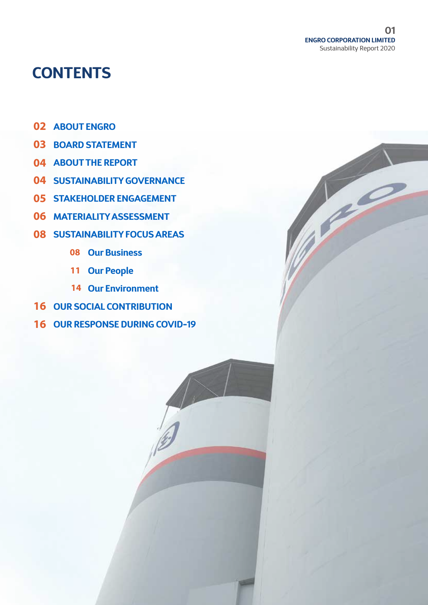**CONTRACTOR** 

### **CONTENTS**

- **ABOUT ENGRO 02**
- **BOARD STATEMENT 03**
- **ABOUT THE REPORT 04**
- **04 SUSTAINABILITY GOVERNANCE**
- **05 STAKEHOLDER ENGAGEMENT**
- **MATERIALITY ASSESSMENT 06**
- **SUSTAINABILITY FOCUS AREAS 08**
	- **Our Business 08**
	- 11 Our People
	- **Our Environment 14**
- **16 OUR SOCIAL CONTRIBUTION**
- **16 OUR RESPONSE DURING COVID-19**

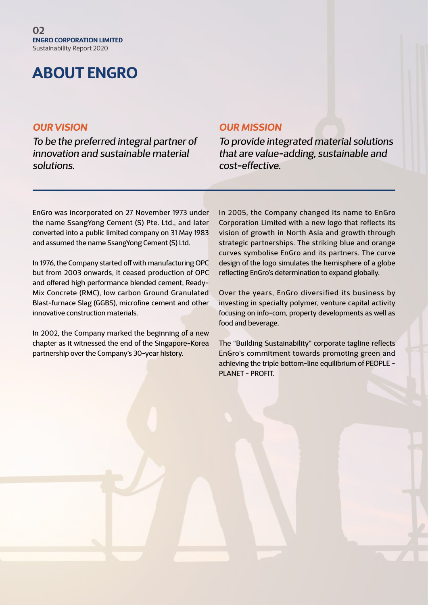### **ABOUT ENGRO**

#### *OUR VISION*

*To be the preferred integral partner of innovation and sustainable material solutions.*

### *OUR MISSION*

*To provide integrated material solutions that are value-adding, sustainable and cost-effective.*

EnGro was incorporated on 27 November 1973 under the name SsangYong Cement (S) Pte. Ltd., and later converted into a public limited company on 31 May 1983 and assumed the name SsangYong Cement (S) Ltd.

In 1976, the Company started off with manufacturing OPC but from 2003 onwards, it ceased production of OPC and offered high performance blended cement, Ready-Mix Concrete (RMC), low carbon Ground Granulated Blast-furnace Slag (GGBS), microfine cement and other innovative construction materials.

In 2002, the Company marked the beginning of a new chapter as it witnessed the end of the Singapore-Korea partnership over the Company's 30-year history.

In 2005, the Company changed its name to EnGro Corporation Limited with a new logo that reflects its vision of growth in North Asia and growth through strategic partnerships. The striking blue and orange curves symbolise EnGro and its partners. The curve design of the logo simulates the hemisphere of a globe reflecting EnGro's determination to expand globally.

Over the years, EnGro diversified its business by investing in specialty polymer, venture capital activity focusing on info-com, property developments as well as food and beverage.

The "Building Sustainability" corporate tagline reflects EnGro's commitment towards promoting green and achieving the triple bottom-line equilibrium of PEOPLE - PLANET - PROFIT.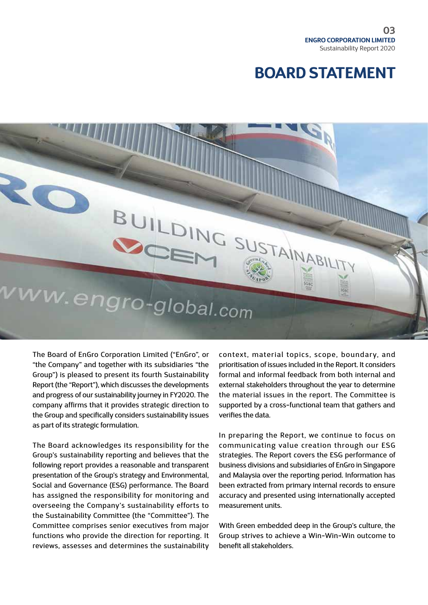### **BOARD STATEMENT**



The Board of EnGro Corporation Limited ("EnGro", or "the Company" and together with its subsidiaries "the Group") is pleased to present its fourth Sustainability Report (the "Report"), which discusses the developments and progress of our sustainability journey in FY2020. The company affirms that it provides strategic direction to the Group and specifically considers sustainability issues as part of its strategic formulation.

The Board acknowledges its responsibility for the Group's sustainability reporting and believes that the following report provides a reasonable and transparent presentation of the Group's strategy and Environmental, Social and Governance (ESG) performance. The Board has assigned the responsibility for monitoring and overseeing the Company's sustainability efforts to the Sustainability Committee (the "Committee"). The Committee comprises senior executives from major functions who provide the direction for reporting. It reviews, assesses and determines the sustainability

context, material topics, scope, boundary, and prioritisation of issues included in the Report. It considers formal and informal feedback from both internal and external stakeholders throughout the year to determine the material issues in the report. The Committee is supported by a cross-functional team that gathers and verifies the data.

In preparing the Report, we continue to focus on communicating value creation through our ESG strategies. The Report covers the ESG performance of business divisions and subsidiaries of EnGro in Singapore and Malaysia over the reporting period. Information has been extracted from primary internal records to ensure accuracy and presented using internationally accepted measurement units.

With Green embedded deep in the Group's culture, the Group strives to achieve a Win-Win-Win outcome to benefit all stakeholders.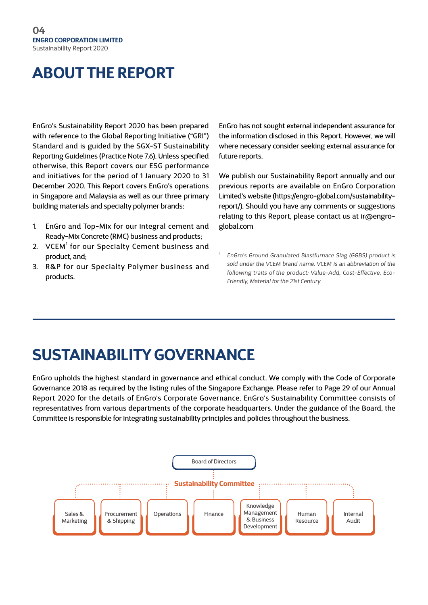### **ABOUT THE REPORT**

EnGro's Sustainability Report 2020 has been prepared with reference to the Global Reporting Initiative ("GRI") Standard and is guided by the SGX-ST Sustainability Reporting Guidelines (Practice Note 7.6). Unless specified otherwise, this Report covers our ESG performance and initiatives for the period of 1 January 2020 to 31 December 2020. This Report covers EnGro's operations in Singapore and Malaysia as well as our three primary building materials and specialty polymer brands:

- 1. EnGro and Top-Mix for our integral cement and Ready-Mix Concrete (RMC) business and products;
- 2. VCEM<sup>1</sup> for our Specialty Cement business and product, and;
- 3. R&P for our Specialty Polymer business and products.

EnGro has not sought external independent assurance for the information disclosed in this Report. However, we will where necessary consider seeking external assurance for future reports.

We publish our Sustainability Report annually and our previous reports are available on EnGro Corporation Limited's website (https://engro-global.com/sustainabilityreport/). Should you have any comments or suggestions relating to this Report, please contact us at ir@engroglobal.com

*<sup>1</sup> EnGro's Ground Granulated Blastfurnace Slag (GGBS) product is sold under the VCEM brand name. VCEM is an abbreviation of the following traits of the product: Value-Add, Cost-Effective, Eco-Friendly, Material for the 21st Century*

### **SUSTAINABILITY GOVERNANCE**

EnGro upholds the highest standard in governance and ethical conduct. We comply with the Code of Corporate Governance 2018 as required by the listing rules of the Singapore Exchange. Please refer to Page 29 of our Annual Report 2020 for the details of EnGro's Corporate Governance. EnGro's Sustainability Committee consists of representatives from various departments of the corporate headquarters. Under the guidance of the Board, the Committee is responsible for integrating sustainability principles and policies throughout the business.

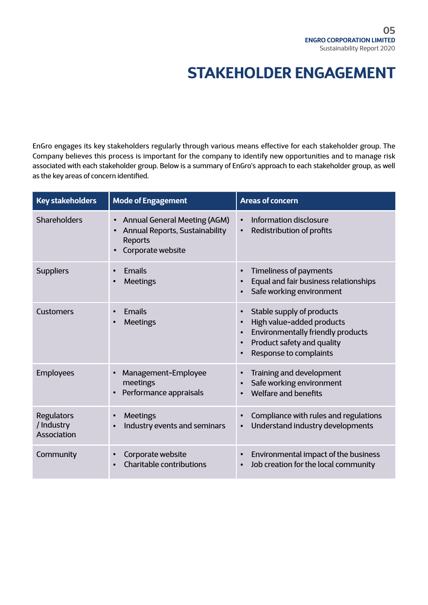### **STAKEHOLDER ENGAGEMENT**

EnGro engages its key stakeholders regularly through various means effective for each stakeholder group. The Company believes this process is important for the company to identify new opportunities and to manage risk associated with each stakeholder group. Below is a summary of EnGro's approach to each stakeholder group, as well as the key areas of concern identified.

| <b>Key stakeholders</b>                 | <b>Mode of Engagement</b>                                                                                                        | <b>Areas of concern</b>                                                                                                                                                                                        |
|-----------------------------------------|----------------------------------------------------------------------------------------------------------------------------------|----------------------------------------------------------------------------------------------------------------------------------------------------------------------------------------------------------------|
| <b>Shareholders</b>                     | <b>Annual General Meeting (AGM)</b><br>$\bullet$<br><b>Annual Reports, Sustainability</b><br><b>Reports</b><br>Corporate website | Information disclosure<br>$\bullet$<br>Redistribution of profits<br>$\bullet$                                                                                                                                  |
| <b>Suppliers</b>                        | Emails<br><b>Meetings</b>                                                                                                        | <b>Timeliness of payments</b><br>$\bullet$<br>Equal and fair business relationships<br>$\bullet$<br>Safe working environment                                                                                   |
| <b>Customers</b>                        | Emails<br><b>Meetings</b>                                                                                                        | Stable supply of products<br>$\bullet$<br>High value-added products<br>$\bullet$<br><b>Environmentally friendly products</b><br>$\bullet$<br>Product safety and quality<br>$\bullet$<br>Response to complaints |
| <b>Employees</b>                        | Management-Employee<br>meetings<br>Performance appraisals                                                                        | Training and development<br>$\bullet$<br>Safe working environment<br><b>Welfare and benefits</b><br>$\bullet$                                                                                                  |
| Regulators<br>/ Industry<br>Association | <b>Meetings</b><br>Industry events and seminars                                                                                  | Compliance with rules and regulations<br>$\bullet$<br>Understand industry developments<br>$\bullet$                                                                                                            |
| Community                               | Corporate website<br>Charitable contributions                                                                                    | Environmental impact of the business<br>$\bullet$<br>Job creation for the local community<br>$\bullet$                                                                                                         |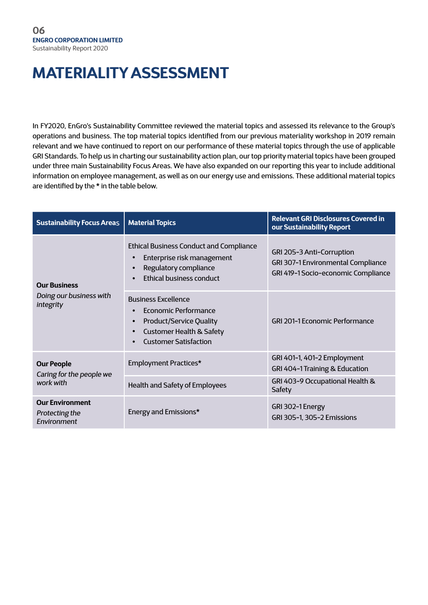### **MATERIALITY ASSESSMENT**

In FY2020, EnGro's Sustainability Committee reviewed the material topics and assessed its relevance to the Group's operations and business. The top material topics identified from our previous materiality workshop in 2019 remain relevant and we have continued to report on our performance of these material topics through the use of applicable GRI Standards. To help us in charting our sustainability action plan, our top priority material topics have been grouped under three main Sustainability Focus Areas. We have also expanded on our reporting this year to include additional information on employee management, as well as on our energy use and emissions. These additional material topics are identified by the \* in the table below.

| <b>Sustainability Focus Areas</b>                       | <b>Material Topics</b>                                                                                                                                      | <b>Relevant GRI Disclosures Covered in</b><br>our Sustainability Report                                |  |  |  |
|---------------------------------------------------------|-------------------------------------------------------------------------------------------------------------------------------------------------------------|--------------------------------------------------------------------------------------------------------|--|--|--|
| <b>Our Business</b>                                     | <b>Ethical Business Conduct and Compliance</b><br>Enterprise risk management<br>Regulatory compliance<br><b>Ethical business conduct</b>                    | GRI 205-3 Anti-Corruption<br>GRI 307-1 Environmental Compliance<br>GRI 419-1 Socio-economic Compliance |  |  |  |
| Doing our business with<br>integrity                    | <b>Business Excellence</b><br>Economic Performance<br><b>Product/Service Quality</b><br><b>Customer Health &amp; Safety</b><br><b>Customer Satisfaction</b> | <b>GRI 201-1 Economic Performance</b>                                                                  |  |  |  |
| <b>Our People</b><br>Caring for the people we           | Employment Practices*                                                                                                                                       | GRI 401-1, 401-2 Employment<br>GRI 404-1 Training & Education                                          |  |  |  |
| work with                                               | Health and Safety of Employees                                                                                                                              | GRI 403-9 Occupational Health &<br>Safety                                                              |  |  |  |
| <b>Our Environment</b><br>Protecting the<br>Environment | Energy and Emissions*                                                                                                                                       | GRI 302-1 Energy<br>GRI 305-1, 305-2 Emissions                                                         |  |  |  |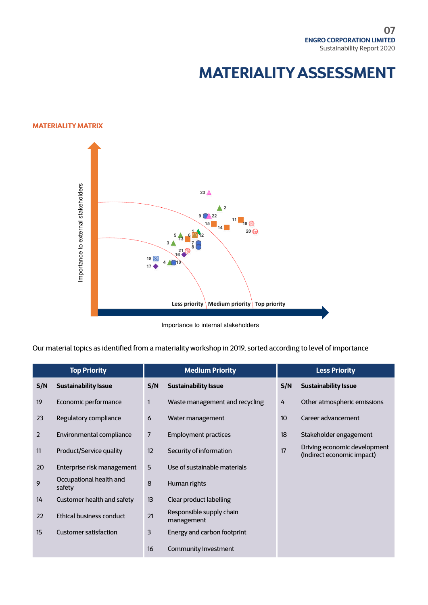### **MATERIALITY ASSESSMENT**

#### **MATERIALITY MATRIX**



Importance to internal stakeholders

Our material topics as identified from a materiality workshop in 2019, sorted according to level of importance

| <b>Top Priority</b> |                                   | <b>Medium Priority</b> |                                        |     | <b>Less Priority</b>                                       |  |  |
|---------------------|-----------------------------------|------------------------|----------------------------------------|-----|------------------------------------------------------------|--|--|
| S/N                 | <b>Sustainability Issue</b>       | S/N                    | <b>Sustainability Issue</b>            | S/N | <b>Sustainability Issue</b>                                |  |  |
| 19                  | Economic performance              | 1                      | Waste management and recycling         | 4   | Other atmospheric emissions                                |  |  |
| 23                  | Regulatory compliance             | 6                      | Water management                       | 10  | Career advancement                                         |  |  |
| $\overline{2}$      | Environmental compliance          | 7                      | <b>Employment practices</b>            | 18  | Stakeholder engagement                                     |  |  |
| 11                  | Product/Service quality           | $12 \overline{ }$      | Security of information                | 17  | Driving economic development<br>(Indirect economic impact) |  |  |
| 20                  | Enterprise risk management        | 5                      | Use of sustainable materials           |     |                                                            |  |  |
| 9                   | Occupational health and<br>safety | 8                      | Human rights                           |     |                                                            |  |  |
| 14                  | Customer health and safety        | 13                     | Clear product labelling                |     |                                                            |  |  |
| 22                  | Ethical business conduct          | 21                     | Responsible supply chain<br>management |     |                                                            |  |  |
| 15                  | <b>Customer satisfaction</b>      | 3                      | Energy and carbon footprint            |     |                                                            |  |  |
|                     |                                   | 16                     | Community Investment                   |     |                                                            |  |  |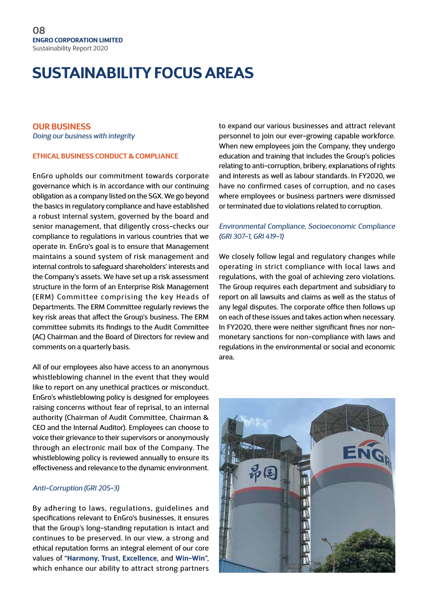#### **OUR BUSINESS**

*Doing our business with integrity*

#### **ETHICAL BUSINESS CONDUCT & COMPLIANCE**

EnGro upholds our commitment towards corporate governance which is in accordance with our continuing obligation as a company listed on the SGX. We go beyond the basics in regulatory compliance and have established a robust internal system, governed by the board and senior management, that diligently cross-checks our compliance to regulations in various countries that we operate in. EnGro's goal is to ensure that Management maintains a sound system of risk management and internal controls to safeguard shareholders' interests and the Company's assets. We have set up a risk assessment structure in the form of an Enterprise Risk Management (ERM) Committee comprising the key Heads of Departments. The ERM Committee regularly reviews the key risk areas that affect the Group's business. The ERM committee submits its findings to the Audit Committee (AC) Chairman and the Board of Directors for review and comments on a quarterly basis.

All of our employees also have access to an anonymous whistleblowing channel in the event that they would like to report on any unethical practices or misconduct. EnGro's whistleblowing policy is designed for employees raising concerns without fear of reprisal, to an internal authority (Chairman of Audit Committee, Chairman & CEO and the Internal Auditor). Employees can choose to voice their grievance to their supervisors or anonymously through an electronic mail box of the Company. The whistleblowing policy is reviewed annually to ensure its effectiveness and relevance to the dynamic environment.

#### *Anti-Corruption (GRI 205-3)*

By adhering to laws, regulations, guidelines and specifications relevant to EnGro's businesses, it ensures that the Group's long-standing reputation is intact and continues to be preserved. In our view, a strong and ethical reputation forms an integral element of our core values of "**Harmony, Trust, Excellence**, and **Win-Win**", which enhance our ability to attract strong partners

to expand our various businesses and attract relevant personnel to join our ever-growing capable workforce. When new employees join the Company, they undergo education and training that includes the Group's policies relating to anti-corruption, bribery, explanations of rights and interests as well as labour standards. In FY2020, we have no confirmed cases of corruption, and no cases where employees or business partners were dismissed or terminated due to violations related to corruption.

#### *Environmental Compliance, Socioeconomic Compliance (GRI 307-1, GRI 419-1)*

We closely follow legal and regulatory changes while operating in strict compliance with local laws and regulations, with the goal of achieving zero violations. The Group requires each department and subsidiary to report on all lawsuits and claims as well as the status of any legal disputes. The corporate office then follows up on each of these issues and takes action when necessary. In FY2020, there were neither significant fines nor nonmonetary sanctions for non-compliance with laws and regulations in the environmental or social and economic area.

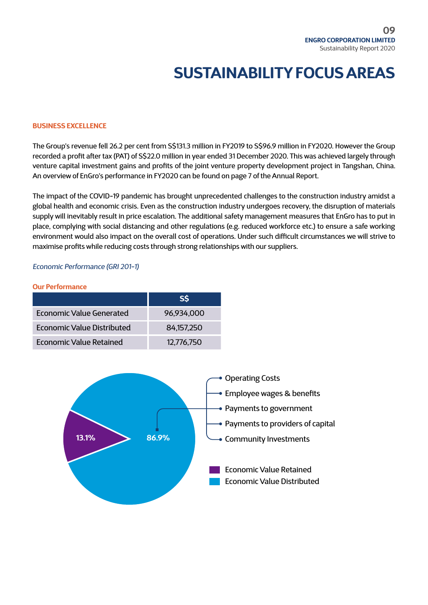#### **BUSINESS EXCELLENCE**

The Group's revenue fell 26.2 per cent from S\$131.3 million in FY2019 to S\$96.9 million in FY2020. However the Group recorded a profit after tax (PAT) of S\$22.0 million in year ended 31 December 2020. This was achieved largely through venture capital investment gains and profits of the joint venture property development project in Tangshan, China. An overview of EnGro's performance in FY2020 can be found on page 7 of the Annual Report.

The impact of the COVID-19 pandemic has brought unprecedented challenges to the construction industry amidst a global health and economic crisis. Even as the construction industry undergoes recovery, the disruption of materials supply will inevitably result in price escalation. The additional safety management measures that EnGro has to put in place, complying with social distancing and other regulations (e.g. reduced workforce etc.) to ensure a safe working environment would also impact on the overall cost of operations. Under such difficult circumstances we will strive to maximise profits while reducing costs through strong relationships with our suppliers.

*Economic Performance (GRI 201-1)* 

#### **Our Performance**

|                            | <b>SS</b>  |
|----------------------------|------------|
| Economic Value Generated   | 96,934,000 |
| Economic Value Distributed | 84,157,250 |
| Economic Value Retained    | 12,776,750 |

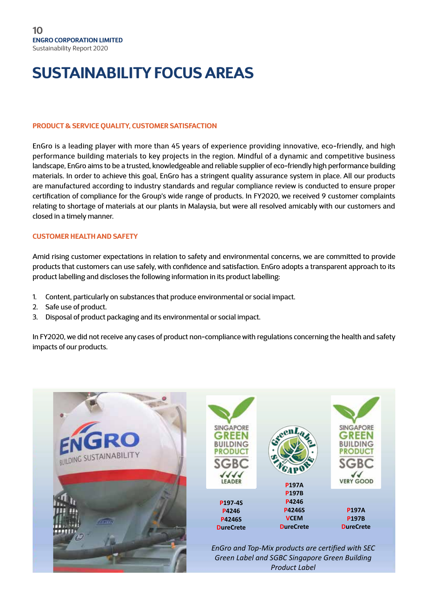#### **PRODUCT & SERVICE QUALITY, CUSTOMER SATISFACTION**

EnGro is a leading player with more than 45 years of experience providing innovative, eco-friendly, and high performance building materials to key projects in the region. Mindful of a dynamic and competitive business landscape, EnGro aims to be a trusted, knowledgeable and reliable supplier of eco-friendly high performance building materials. In order to achieve this goal, EnGro has a stringent quality assurance system in place. All our products are manufactured according to industry standards and regular compliance review is conducted to ensure proper certification of compliance for the Group's wide range of products. In FY2020, we received 9 customer complaints relating to shortage of materials at our plants in Malaysia, but were all resolved amicably with our customers and closed in a timely manner.

#### **CUSTOMER HEALTH AND SAFETY**

Amid rising customer expectations in relation to safety and environmental concerns, we are committed to provide products that customers can use safely, with confidence and satisfaction. EnGro adopts a transparent approach to its product labelling and discloses the following information in its product labelling:

- 1. Content, particularly on substances that produce environmental or social impact.
- 2. Safe use of product.
- 3. Disposal of product packaging and its environmental or social impact.

In FY2020, we did not receive any cases of product non-compliance with regulations concerning the health and safety impacts of our products.

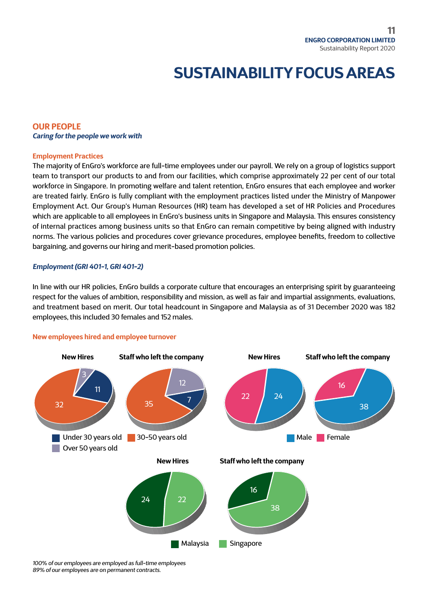#### **OUR PEOPLE** *Caring for the people we work with*

#### **Employment Practices**

The majority of EnGro's workforce are full-time employees under our payroll. We rely on a group of logistics support team to transport our products to and from our facilities, which comprise approximately 22 per cent of our total workforce in Singapore. In promoting welfare and talent retention, EnGro ensures that each employee and worker are treated fairly. EnGro is fully compliant with the employment practices listed under the Ministry of Manpower Employment Act. Our Group's Human Resources (HR) team has developed a set of HR Policies and Procedures which are applicable to all employees in EnGro's business units in Singapore and Malaysia. This ensures consistency of internal practices among business units so that EnGro can remain competitive by being aligned with industry norms. The various policies and procedures cover grievance procedures, employee benefits, freedom to collective bargaining, and governs our hiring and merit-based promotion policies.

#### *Employment (GRI 401-1, GRI 401-2)*

In line with our HR policies, EnGro builds a corporate culture that encourages an enterprising spirit by guaranteeing respect for the values of ambition, responsibility and mission, as well as fair and impartial assignments, evaluations, and treatment based on merit. Our total headcount in Singapore and Malaysia as of 31 December 2020 was 182 employees, this included 30 females and 152 males.

#### **New employees hired and employee turnover**



*100% of our employees are employed as full-time employees 89% of our employees are on permanent contracts.*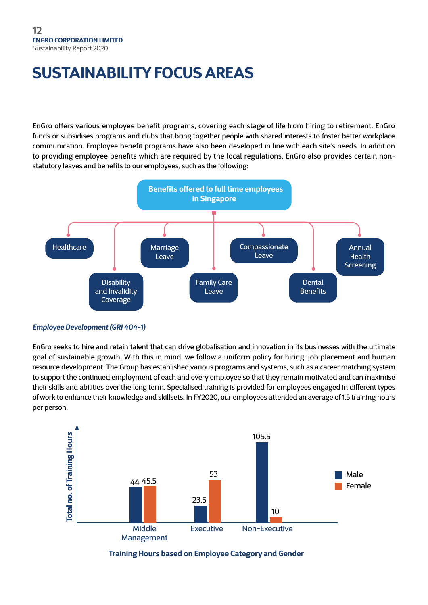EnGro offers various employee benefit programs, covering each stage of life from hiring to retirement. EnGro funds or subsidises programs and clubs that bring together people with shared interests to foster better workplace communication. Employee benefit programs have also been developed in line with each site's needs. In addition to providing employee benefits which are required by the local regulations, EnGro also provides certain nonstatutory leaves and benefits to our employees, such as the following:



#### *Employee Development (GRI 404-1)*

EnGro seeks to hire and retain talent that can drive globalisation and innovation in its businesses with the ultimate goal of sustainable growth. With this in mind, we follow a uniform policy for hiring, job placement and human resource development. The Group has established various programs and systems, such as a career matching system to support the continued employment of each and every employee so that they remain motivated and can maximise their skills and abilities over the long term. Specialised training is provided for employees engaged in different types of work to enhance their knowledge and skillsets. In FY2020, our employees attended an average of 1.5 training hours per person.



**Training Hours based on Employee Category and Gender**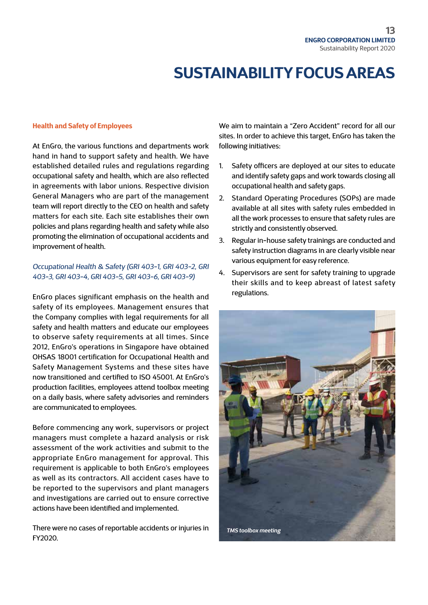#### **Health and Safety of Employees**

At EnGro, the various functions and departments work hand in hand to support safety and health. We have established detailed rules and regulations regarding occupational safety and health, which are also reflected in agreements with labor unions. Respective division General Managers who are part of the management team will report directly to the CEO on health and safety matters for each site. Each site establishes their own policies and plans regarding health and safety while also promoting the elimination of occupational accidents and improvement of health.

#### *Occupational Health & Safety (GRI 403-1, GRI 403-2, GRI 403-3, GRI 403-4, GRI 403-5, GRI 403-6, GRI 403-9)*

EnGro places significant emphasis on the health and safety of its employees. Management ensures that the Company complies with legal requirements for all safety and health matters and educate our employees to observe safety requirements at all times. Since 2012, EnGro's operations in Singapore have obtained OHSAS 18001 certification for Occupational Health and Safety Management Systems and these sites have now transitioned and certified to ISO 45001. At EnGro's production facilities, employees attend toolbox meeting on a daily basis, where safety advisories and reminders are communicated to employees.

Before commencing any work, supervisors or project managers must complete a hazard analysis or risk assessment of the work activities and submit to the appropriate EnGro management for approval. This requirement is applicable to both EnGro's employees as well as its contractors. All accident cases have to be reported to the supervisors and plant managers and investigations are carried out to ensure corrective actions have been identified and implemented.

There were no cases of reportable accidents or injuries in FY2020.

We aim to maintain a "Zero Accident" record for all our sites. In order to achieve this target, EnGro has taken the following initiatives:

- 1. Safety officers are deployed at our sites to educate and identify safety gaps and work towards closing all occupational health and safety gaps.
- 2. Standard Operating Procedures (SOPs) are made available at all sites with safety rules embedded in all the work processes to ensure that safety rules are strictly and consistently observed.
- 3. Regular in-house safety trainings are conducted and safety instruction diagrams in are clearly visible near various equipment for easy reference.
- 4. Supervisors are sent for safety training to upgrade their skills and to keep abreast of latest safety regulations.

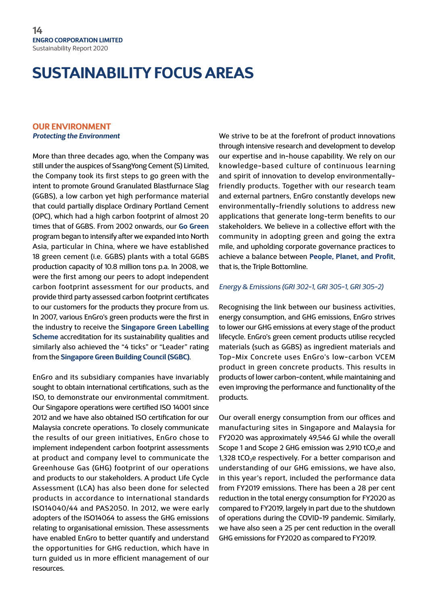#### **OUR ENVIRONMENT** *Protecting the Environment*

More than three decades ago, when the Company was still under the auspices of SsangYong Cement (S) Limited, the Company took its first steps to go green with the intent to promote Ground Granulated Blastfurnace Slag (GGBS), a low carbon yet high performance material that could partially displace Ordinary Portland Cement (OPC), which had a high carbon footprint of almost 20 times that of GGBS. From 2002 onwards, our **Go Green** program began to intensify after we expanded into North Asia, particular in China, where we have established 18 green cement (i.e. GGBS) plants with a total GGBS production capacity of 10.8 million tons p.a. In 2008, we were the first among our peers to adopt independent carbon footprint assessment for our products, and provide third party assessed carbon footprint certificates to our customers for the products they procure from us. In 2007, various EnGro's green products were the first in the industry to receive the **Singapore Green Labelling Scheme** accreditation for its sustainability qualities and similarly also achieved the "4 ticks" or "Leader" rating from the **Singapore Green Building Council (SGBC)**.

EnGro and its subsidiary companies have invariably sought to obtain international certifications, such as the ISO, to demonstrate our environmental commitment. Our Singapore operations were certified ISO 14001 since 2012 and we have also obtained ISO certification for our Malaysia concrete operations. To closely communicate the results of our green initiatives, EnGro chose to implement independent carbon footprint assessments at product and company level to communicate the Greenhouse Gas (GHG) footprint of our operations and products to our stakeholders. A product Life Cycle Assessment (LCA) has also been done for selected products in accordance to international standards ISO14040/44 and PAS2050. In 2012, we were early adopters of the ISO14064 to assess the GHG emissions relating to organisational emission. These assessments have enabled EnGro to better quantify and understand the opportunities for GHG reduction, which have in turn guided us in more efficient management of our resources.

We strive to be at the forefront of product innovations through intensive research and development to develop our expertise and in-house capability. We rely on our knowledge-based culture of continuous learning and spirit of innovation to develop environmentallyfriendly products. Together with our research team and external partners, EnGro constantly develops new environmentally-friendly solutions to address new applications that generate long-term benefits to our stakeholders. We believe in a collective effort with the community in adopting green and going the extra mile, and upholding corporate governance practices to achieve a balance between **People, Planet, and Profit**, that is, the Triple Bottomline.

#### *Energy & Emissions (GRI 302-1, GRI 305-1, GRI 305-2)*

Recognising the link between our business activities, energy consumption, and GHG emissions, EnGro strives to lower our GHG emissions at every stage of the product lifecycle. EnGro's green cement products utilise recycled materials (such as GGBS) as ingredient materials and Top-Mix Concrete uses EnGro's low-carbon VCEM product in green concrete products. This results in products of lower carbon-content, while maintaining and even improving the performance and functionality of the products.

Our overall energy consumption from our offices and manufacturing sites in Singapore and Malaysia for FY2020 was approximately 49,546 GJ while the overall Scope 1 and Scope 2 GHG emission was 2,910 tCO<sub>2</sub>e and 1,328  $tCO<sub>2</sub>e$  respectively. For a better comparison and understanding of our GHG emissions, we have also, in this year's report, included the performance data from FY2019 emissions. There has been a 28 per cent reduction in the total energy consumption for FY2020 as compared to FY2019, largely in part due to the shutdown of operations during the COVID-19 pandemic. Similarly, we have also seen a 25 per cent reduction in the overall GHG emissions for FY2020 as compared to FY2019.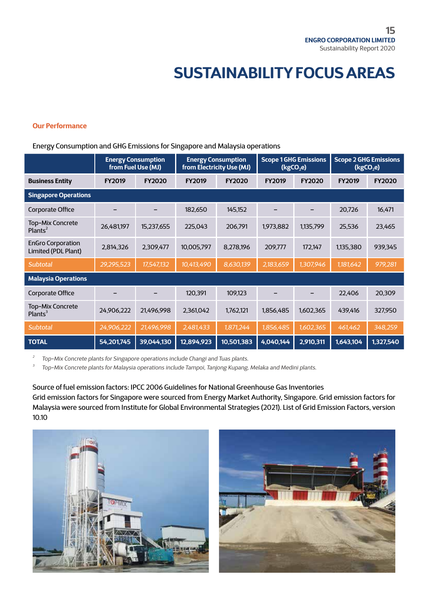#### **Our Performance**

#### Energy Consumption and GHG Emissions for Singapore and Malaysia operations

|                                                 | <b>Energy Consumption</b><br>from Fuel Use (MJ) |               | <b>Energy Consumption</b><br>from Electricity Use (MJ) |               | <b>Scope 1 GHG Emissions</b><br>(kgCO <sub>2</sub> e) |               | <b>Scope 2 GHG Emissions</b><br>(kgCO <sub>2</sub> e) |               |
|-------------------------------------------------|-------------------------------------------------|---------------|--------------------------------------------------------|---------------|-------------------------------------------------------|---------------|-------------------------------------------------------|---------------|
| <b>Business Entity</b>                          | <b>FY2019</b>                                   | <b>FY2020</b> | <b>FY2019</b>                                          | <b>FY2020</b> | <b>FY2019</b>                                         | <b>FY2020</b> | <b>FY2019</b>                                         | <b>FY2020</b> |
| <b>Singapore Operations</b>                     |                                                 |               |                                                        |               |                                                       |               |                                                       |               |
| Corporate Office                                |                                                 |               | 182,650                                                | 145,152       |                                                       |               | 20,726                                                | 16,471        |
| Top-Mix Concrete<br>Plants $^2$                 | 26,481,197                                      | 15,237,655    | 225,043                                                | 206,791       | 1,973,882                                             | 1,135,799     | 25,536                                                | 23,465        |
| <b>EnGro Corporation</b><br>Limited (PDL Plant) | 2,814,326                                       | 2,309,477     | 10,005,797                                             | 8,278,196     | 209,777                                               | 172,147       | 1,135,380                                             | 939,345       |
| <b>Subtotal</b>                                 | 29,295,523                                      | 17,547,132    | 10,413,490                                             | 8,630,139     | 2,183,659                                             | 1,307,946     | 1,181,642                                             | 979,281       |
| <b>Malaysia Operations</b>                      |                                                 |               |                                                        |               |                                                       |               |                                                       |               |
| Corporate Office                                |                                                 |               | 120,391                                                | 109,123       |                                                       |               | 22,406                                                | 20,309        |
| Top-Mix Concrete<br>Plants $3$                  | 24,906,222                                      | 21,496,998    | 2,361,042                                              | 1,762,121     | 1,856,485                                             | 1,602,365     | 439,416                                               | 327,950       |
| <b>Subtotal</b>                                 | 24,906,222                                      | 21,496,998    | 2,481,433                                              | 1,871,244     | 1,856,485                                             | 1,602,365     | 461,462                                               | 348,259       |
| <b>TOTAL</b>                                    | 54,201,745                                      | 39,044,130    | 12,894,923                                             | 10,501,383    | 4,040,144                                             | 2,910,311     | 1,643,104                                             | 1,327,540     |

*<sup>2</sup> Top-Mix Concrete plants for Singapore operations include Changi and Tuas plants.* 

*<sup>3</sup> Top-Mix Concrete plants for Malaysia operations include Tampoi, Tanjong Kupang, Melaka and Medini plants.*

Source of fuel emission factors: IPCC 2006 Guidelines for National Greenhouse Gas Inventories Grid emission factors for Singapore were sourced from Energy Market Authority, Singapore. Grid emission factors for Malaysia were sourced from Institute for Global Environmental Strategies (2021). List of Grid Emission Factors, version 10.10



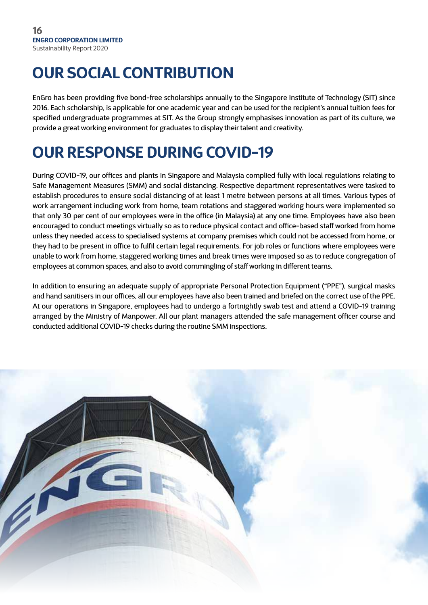### **OUR SOCIAL CONTRIBUTION**

EnGro has been providing five bond-free scholarships annually to the Singapore Institute of Technology (SIT) since 2016. Each scholarship, is applicable for one academic year and can be used for the recipient's annual tuition fees for specified undergraduate programmes at SIT. As the Group strongly emphasises innovation as part of its culture, we provide a great working environment for graduates to display their talent and creativity.

## **OUR RESPONSE DURING COVID-19**

During COVID-19, our offices and plants in Singapore and Malaysia complied fully with local regulations relating to Safe Management Measures (SMM) and social distancing. Respective department representatives were tasked to establish procedures to ensure social distancing of at least 1 metre between persons at all times. Various types of work arrangement including work from home, team rotations and staggered working hours were implemented so that only 30 per cent of our employees were in the office (in Malaysia) at any one time. Employees have also been encouraged to conduct meetings virtually so as to reduce physical contact and office-based staff worked from home unless they needed access to specialised systems at company premises which could not be accessed from home, or they had to be present in office to fulfil certain legal requirements. For job roles or functions where employees were unable to work from home, staggered working times and break times were imposed so as to reduce congregation of employees at common spaces, and also to avoid commingling of staff working in different teams.

In addition to ensuring an adequate supply of appropriate Personal Protection Equipment ("PPE"), surgical masks and hand sanitisers in our offices, all our employees have also been trained and briefed on the correct use of the PPE. At our operations in Singapore, employees had to undergo a fortnightly swab test and attend a COVID-19 training arranged by the Ministry of Manpower. All our plant managers attended the safe management officer course and conducted additional COVID-19 checks during the routine SMM inspections.